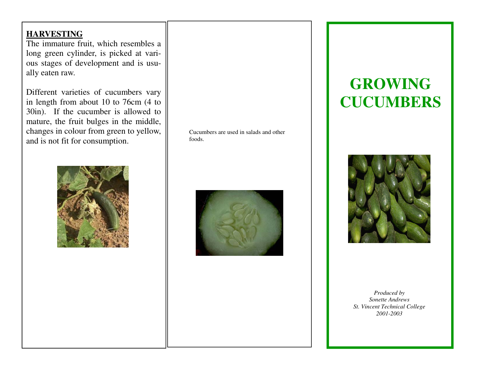### **HARVESTING**

 The immature fruit, which resembles a long green cylinder, is picked at various stages of development and is usually eaten raw.

Different varieties of cucumbers vary in length from about 10 to 76cm (4 to 30in). If the cucumber is allowed to mature, the fruit bulges in the middle, changes in colour from green to yellow, and is not fit for consumption.



Cucumbers are used in salads and other foods.



# **GROWING CUCUMBERS**



*Produced by Sonette Andrews St. Vincent Technical College 2001-2003*